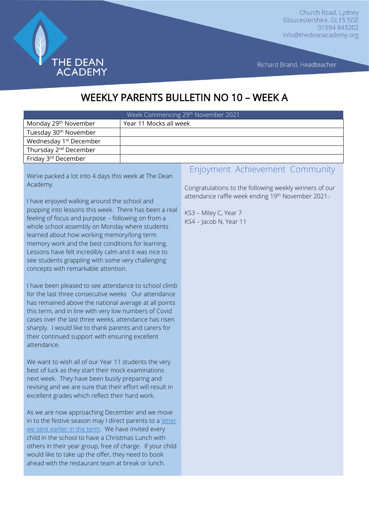

Richard Brand, Headteacher

## WEEKLY PARENTS BULLETIN NO 10 – WEEK A

| Week Commencing 29th November 2021 |                        |
|------------------------------------|------------------------|
| Monday 29 <sup>th</sup> November   | Year 11 Mocks all week |
| Tuesday 30 <sup>th</sup> November  |                        |
| Wednesday 1 <sup>st</sup> December |                        |
| Thursday 2 <sup>nd</sup> December  |                        |
| Friday 3rd December                |                        |

We've packed a lot into 4 days this week at The Dean Academy.

I have enjoyed walking around the school and popping into lessons this week. There has been a real feeling of focus and purpose – following on from a whole school assembly on Monday where students learned about how working memory/long term memory work and the best conditions for learning. Lessons have felt incredibly calm and it was nice to see students grappling with some very challenging concepts with remarkable attention.

I have been pleased to see attendance to school climb for the last three consecutive weeks Our attendance has remained above the national average at all points this term, and in line with very low numbers of Covid cases over the last three weeks, attendance has risen sharply. I would like to thank parents and carers for their continued support with ensuring excellent attendance.

We want to wish all of our Year 11 students the very best of luck as they start their mock examinations next week. They have been busily preparing and revising and we are sure that their effort will result in excellent grades which reflect their hard work.

As we are now approaching December and we move in to the festive season may I direct parents to a [letter](https://thedeanacademy.org/wp-content/uploads/2021/11/Christmas-Lunch-Students-2021.pdf)  [we sent earlier in the term.](https://thedeanacademy.org/wp-content/uploads/2021/11/Christmas-Lunch-Students-2021.pdf) We have invited every child in the school to have a Christmas Lunch with others in their year group, free of charge. If your child would like to take up the offer, they need to book ahead with the restaurant team at break or lunch.

#### Enjoyment Achievement Community

Congratulations to the following weekly winners of our attendance raffle week ending 19<sup>th</sup> November 2021:-

KS3 – Miley C, Year 7 KS4 – Jacob N, Year 11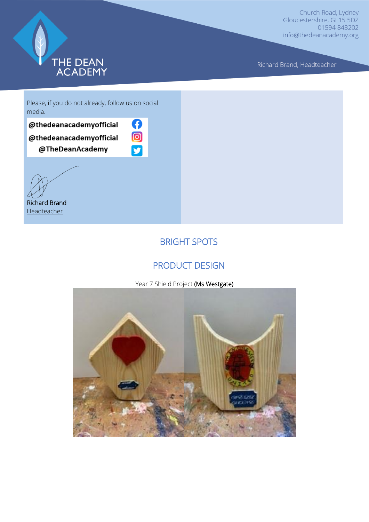

Richard Brand, Headteacher

Please, if you do not already, follow us on social media.

**e** 

y

@thedeanacademyofficial @thedeanacademyofficial @TheDeanAcademy





Richard Brand **Headteacher** 

### BRIGHT SPOTS

### PRODUCT DESIGN

Year 7 Shield Project (Ms Westgate)

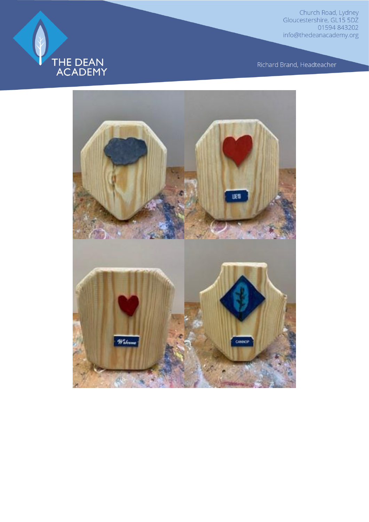

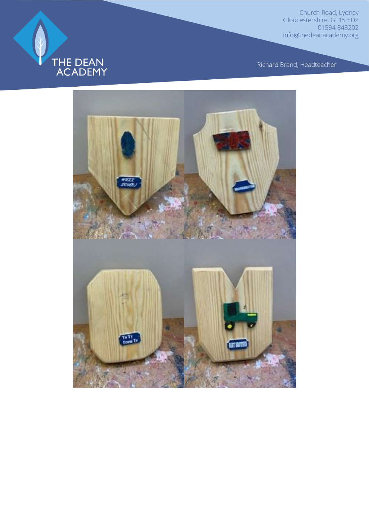

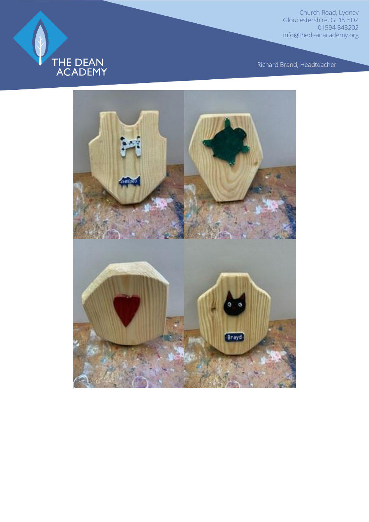

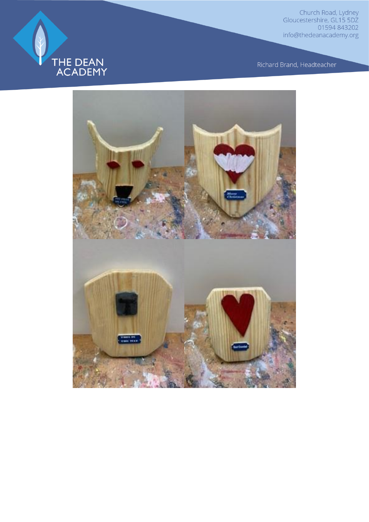

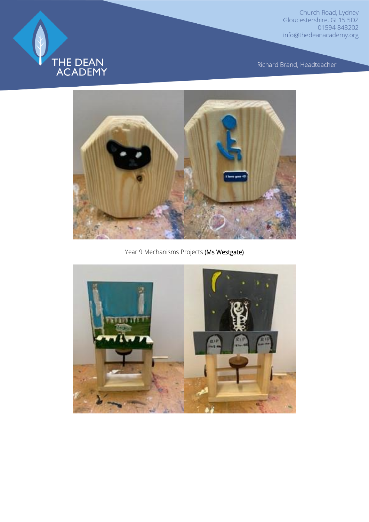



Year 9 Mechanisms Projects (Ms Westgate)

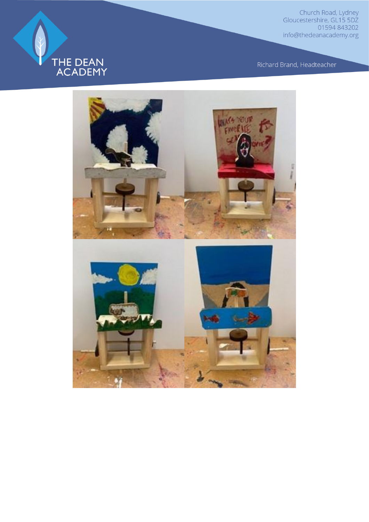

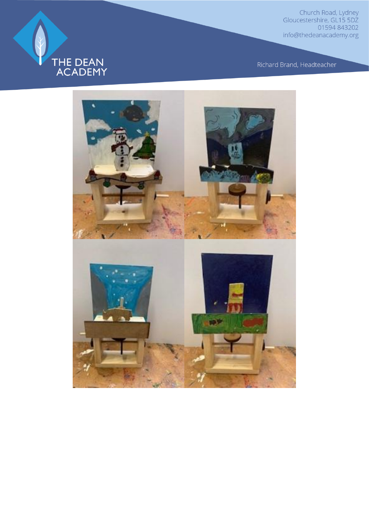

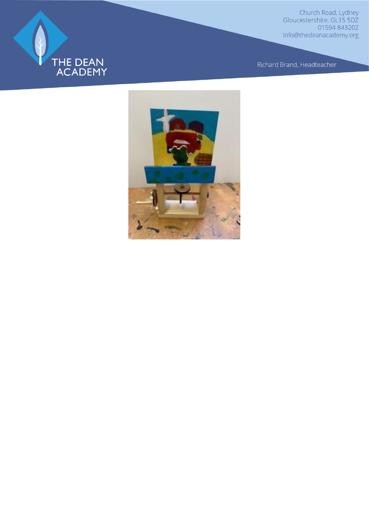

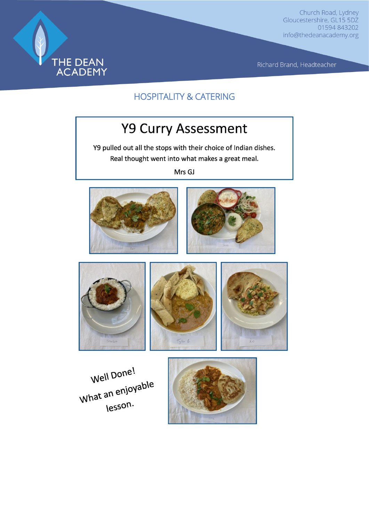

Richard Brand, Headteacher

#### **HOSPITALITY & CATERING**

# **Y9 Curry Assessment**

Y9 pulled out all the stops with their choice of Indian dishes. Real thought went into what makes a great meal.

Mrs GJ











Well Done! What an enjoyable lesson.